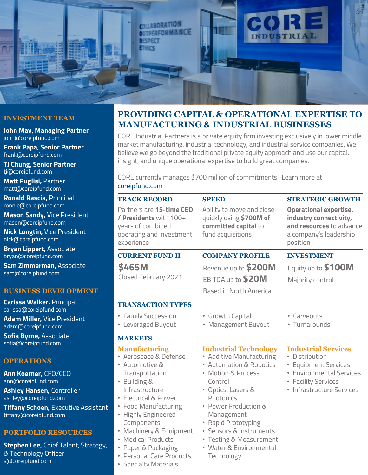

## **INVESTMENT TEAM**

**John May, Managing Partner** john@coreipfund.com

**Frank Papa, Senior Partner** frank@coreipfund.com

**TJ Chung, Senior Partner** tj@coreipfund.com

**Matt Puglisi,** Partner matt@coreipfund.com

**Ronald Rascia,** Principal ronnie@coreipfund.com

**Mason Sandy,** Vice President mason@coreipfund.com

**Nick Longtin,** Vice President nick@coreipfund.com

**Bryan Lippert,** Associate bryan@coreipfund.com

**Sam Zimmerman,** Associate sam@coreipfund.com

### **BUSINESS DEVELOPMENT**

**Carissa Walker,** Principal carissa@coreipfund.com **Adam Miller,** Vice President adam@coreipfund.com

**Sofia Byrne,** Associate sofia@coreipfund.com

## **OPERATIONS**

**Ann Koerner,** CFO/CCO ann@coreipfund.com

**Ashley Hansen,** Controller ashley@coreipfund.com

**Tiffany Schoen,** Executive Assistant tiffany@coreipfund.com

#### **PORTFOLIO RESOURCES**

**Stephen Lee,** Chief Talent, Strategy, & Technology Officer s@coreipfund.com

# **PROVIDING CAPITAL & OPERATIONAL EXPERTISE TO MANUFACTURING & INDUSTRIAL BUSINESSES**

CORE Industrial Partners is a private equity firm investing exclusively in lower middle market manufacturing, industrial technology, and industrial service companies. We believe we go beyond the traditional private equity approach and use our capital, insight, and unique operational expertise to build great companies.

CORE currently manages \$700 million of commitments. Learn more at [coreipfund.com](http://www.coreipfund.com/)

| <b>TRACK RECORD</b>                                                                                                                                                                                                                                                                                                                      | <b>SPEED</b>                                                                                                                                                                                                                                                                                                                        | <b>STRATEGIC GROWTH</b>                                                                                                                              |
|------------------------------------------------------------------------------------------------------------------------------------------------------------------------------------------------------------------------------------------------------------------------------------------------------------------------------------------|-------------------------------------------------------------------------------------------------------------------------------------------------------------------------------------------------------------------------------------------------------------------------------------------------------------------------------------|------------------------------------------------------------------------------------------------------------------------------------------------------|
| Partners are 15-time CEO<br>/ Presidents with 100+<br>years of combined<br>operating and investment<br>experience                                                                                                                                                                                                                        | Ability to move and close<br>quickly using \$700M of<br>committed capital to<br>fund acquisitions                                                                                                                                                                                                                                   | <b>Operational expertise,</b><br>industry connectivity,<br>and resources to advance<br>a company's leadership<br>position                            |
| <b>CURRENT FUND II</b>                                                                                                                                                                                                                                                                                                                   | <b>COMPANY PROFILE</b>                                                                                                                                                                                                                                                                                                              | <b>INVESTMENT</b>                                                                                                                                    |
| \$465M<br>Closed February 2021                                                                                                                                                                                                                                                                                                           | Revenue up to \$200M<br>EBITDA up to \$20M<br>Based in North America                                                                                                                                                                                                                                                                | Equity up to \$100M<br>Majority control                                                                                                              |
| <b>TRANSACTION TYPES</b>                                                                                                                                                                                                                                                                                                                 |                                                                                                                                                                                                                                                                                                                                     |                                                                                                                                                      |
| • Family Succession<br>Leveraged Buyout<br>٠                                                                                                                                                                                                                                                                                             | • Growth Capital<br>• Management Buyout                                                                                                                                                                                                                                                                                             | • Carveouts<br>• Turnarounds                                                                                                                         |
| <b>MARKETS</b>                                                                                                                                                                                                                                                                                                                           |                                                                                                                                                                                                                                                                                                                                     |                                                                                                                                                      |
| <b>Manufacturing</b><br>• Aerospace & Defense<br>• Automotive &<br>Transportation<br>• Building &<br>Infrastructure<br>• Electrical & Power<br>• Food Manufacturing<br>• Highly Engineered<br>Components<br>• Machinery & Equipment<br><b>Medical Products</b><br>Paper & Packaging<br>• Personal Care Products<br>• Specialty Materials | <b>Industrial Technology</b><br>• Additive Manufacturing<br><b>Automation &amp; Robotics</b><br><b>Motion &amp; Process</b><br>Control<br>• Optics, Lasers &<br>Photonics<br>• Power Production &<br>Management<br>Rapid Prototyping<br>· Sensors & Instruments<br>• Testing & Measurement<br>• Water & Environmental<br>Technology | <b>Industrial Services</b><br>• Distribution<br>• Equipment Services<br>• Environmental Services<br>• Facility Services<br>• Infrastructure Services |